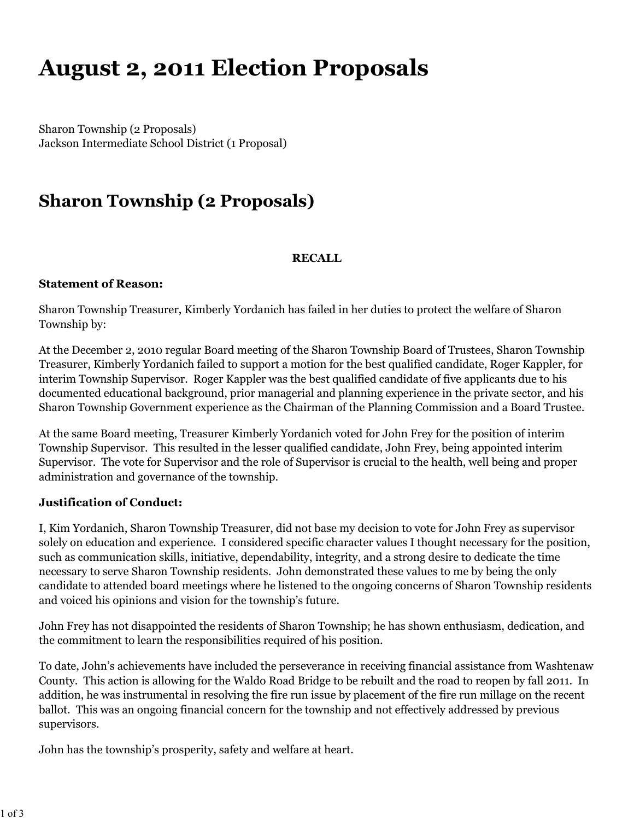# **August 2, 2011 Election Proposals**

Sharon Township (2 Proposals) Jackson Intermediate School District (1 Proposal)

## **Sharon Township (2 Proposals)**

#### **RECALL**

#### **Statement of Reason:**

Sharon Township Treasurer, Kimberly Yordanich has failed in her duties to protect the welfare of Sharon Township by:

At the December 2, 2010 regular Board meeting of the Sharon Township Board of Trustees, Sharon Township Treasurer, Kimberly Yordanich failed to support a motion for the best qualified candidate, Roger Kappler, for interim Township Supervisor. Roger Kappler was the best qualified candidate of five applicants due to his documented educational background, prior managerial and planning experience in the private sector, and his Sharon Township Government experience as the Chairman of the Planning Commission and a Board Trustee.

At the same Board meeting, Treasurer Kimberly Yordanich voted for John Frey for the position of interim Township Supervisor. This resulted in the lesser qualified candidate, John Frey, being appointed interim Supervisor. The vote for Supervisor and the role of Supervisor is crucial to the health, well being and proper administration and governance of the township.

#### **Justification of Conduct:**

I, Kim Yordanich, Sharon Township Treasurer, did not base my decision to vote for John Frey as supervisor solely on education and experience. I considered specific character values I thought necessary for the position, such as communication skills, initiative, dependability, integrity, and a strong desire to dedicate the time necessary to serve Sharon Township residents. John demonstrated these values to me by being the only candidate to attended board meetings where he listened to the ongoing concerns of Sharon Township residents and voiced his opinions and vision for the township's future.

John Frey has not disappointed the residents of Sharon Township; he has shown enthusiasm, dedication, and the commitment to learn the responsibilities required of his position.

To date, John's achievements have included the perseverance in receiving financial assistance from Washtenaw County. This action is allowing for the Waldo Road Bridge to be rebuilt and the road to reopen by fall 2011. In addition, he was instrumental in resolving the fire run issue by placement of the fire run millage on the recent ballot. This was an ongoing financial concern for the township and not effectively addressed by previous supervisors.

John has the township's prosperity, safety and welfare at heart.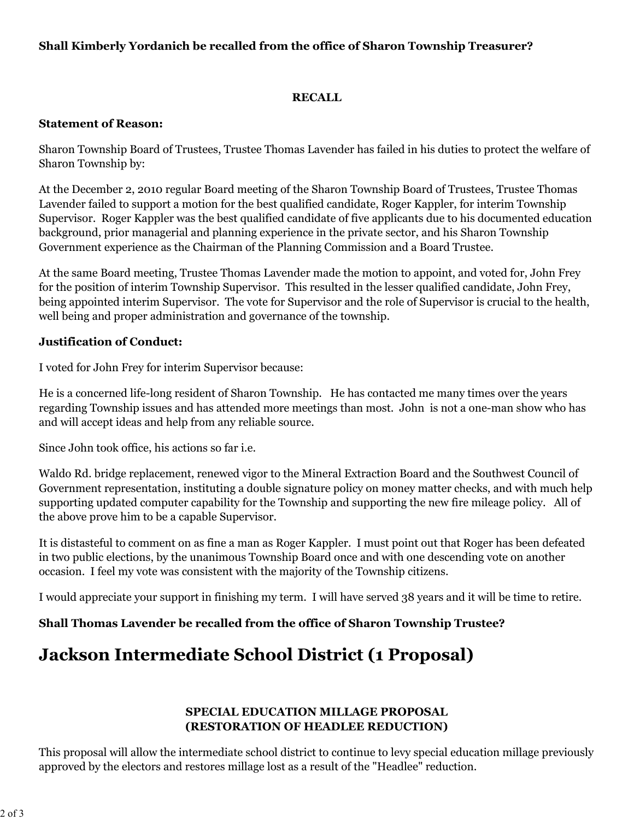#### **Shall Kimberly Yordanich be recalled from the office of Sharon Township Treasurer?**

#### **RECALL**

#### **Statement of Reason:**

Sharon Township Board of Trustees, Trustee Thomas Lavender has failed in his duties to protect the welfare of Sharon Township by:

At the December 2, 2010 regular Board meeting of the Sharon Township Board of Trustees, Trustee Thomas Lavender failed to support a motion for the best qualified candidate, Roger Kappler, for interim Township Supervisor. Roger Kappler was the best qualified candidate of five applicants due to his documented education background, prior managerial and planning experience in the private sector, and his Sharon Township Government experience as the Chairman of the Planning Commission and a Board Trustee.

At the same Board meeting, Trustee Thomas Lavender made the motion to appoint, and voted for, John Frey for the position of interim Township Supervisor. This resulted in the lesser qualified candidate, John Frey, being appointed interim Supervisor. The vote for Supervisor and the role of Supervisor is crucial to the health, well being and proper administration and governance of the township.

#### **Justification of Conduct:**

I voted for John Frey for interim Supervisor because:

He is a concerned life-long resident of Sharon Township. He has contacted me many times over the years regarding Township issues and has attended more meetings than most. John is not a one-man show who has and will accept ideas and help from any reliable source.

Since John took office, his actions so far i.e.

Waldo Rd. bridge replacement, renewed vigor to the Mineral Extraction Board and the Southwest Council of Government representation, instituting a double signature policy on money matter checks, and with much help supporting updated computer capability for the Township and supporting the new fire mileage policy. All of the above prove him to be a capable Supervisor.

It is distasteful to comment on as fine a man as Roger Kappler. I must point out that Roger has been defeated in two public elections, by the unanimous Township Board once and with one descending vote on another occasion. I feel my vote was consistent with the majority of the Township citizens.

I would appreciate your support in finishing my term. I will have served 38 years and it will be time to retire.

**Shall Thomas Lavender be recalled from the office of Sharon Township Trustee?**

### **Jackson Intermediate School District (1 Proposal)**

#### **SPECIAL EDUCATION MILLAGE PROPOSAL (RESTORATION OF HEADLEE REDUCTION)**

This proposal will allow the intermediate school district to continue to levy special education millage previously approved by the electors and restores millage lost as a result of the "Headlee" reduction.